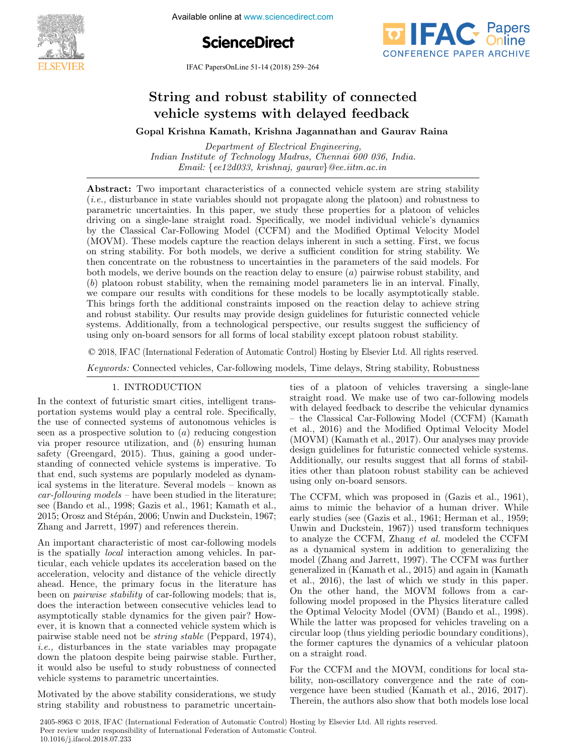

Available online at www.sciencedirect.com





IFAC PapersOnLine 51-14 (2018) 259–264

#### string and robust stability of connecte String and robust stability of connected vering and robuse seability or connecte Venned Systems while actaged recuback vehicle systems with delayed feedback vehicle systems with delayed feedback

Gopal Krishna Kamath, Krishna Jagannathan and Gaurav Raina Gopal Krishna Kamath, Krishna Jagannathan and Gaurav Raina Gopal Krishna Kamath, Krishna Jagannathan and Gaurav Raina

nd Construction Construction Constraint Constraint of Electrical Engineering, Indian Institute of Technology Madras, Chennai 600 036, India. Email: {ee12d033, krishnaj, gaurav}@ee.iitm.ac.in Email: {ee12d033, krishnaj, gaurav}@ee.iitm.ac.in Indian Institute of Technology Madras, Chennai 600 036, India. Indian Institute of Technology Madras, Chennai 600 036, India. Indian Institute of Technology Madras, Chennai 600 036, India.<br>Email: {ee12d033, krishnaj, gaurav}@ee.iitm.ac.in  $\frac{1}{2}$  and  $\frac{1}{2}$  (expresses), in annually, gauranty continuous intervals.

 $(i.e.,$  disturbance in state variables should not propagate along the platoon) and robustness to (*i.e.*, distributed in state variables should not propagate along the platoon) and robustness to<br>parametric uncertainties. In this paper, we study these properties for a platoon of vehicles parametric uncertainties. In this paper, we study these properties for a platform of ventiles by the Classical Car-Following Model (CCFM) and the Modified Optimal Velocity Model (MOVM). These models capture the reaction delays inherent in such a setting. First, we focus (MOVM). These models capture the reaction delays inherent in such a setting. Phst, we locus<br>on string stability. For both models, we derive a sufficient condition for string stability. We on string stability. For both models, we derive a sumcretic condition for string stability. We<br>then concentrate on the robustness to uncertainties in the parameters of the said models. For  $\alpha$  both models, we derive bounds on the reaction delay to ensure  $(a)$  pairwise robust stability, and both models, we derive bounds on the reaction delay to ensure  $(a)$  pairwise robust stability, and (b) platoon robust stability, when the remaining model parameters lie in an interval. Finally, we compare our results with conditions for these models to be locally asymptotically stable. we compare our results with conditions for these models to be locally asymptotically stable.<br>This brings forth the additional constraints imposed on the reaction delay to achieve string and robust stability. Our results may provide design guidelines for futuristic connected vehicle systems. Additionally, from a technological perspective, our results suggest the sufficiency of systems. Additionally, from a technological perspective, our results suggest the sufficiency of  $\sin^2(\theta)$ using only on-board sensors for all forms of local stability except platoon robust stability. Abstract: Two important characteristics of a connected vehicle system are string stability **String and robust stability of connected**<br> **Vehicle systems with delayed feedback**<br> **Gopal Krishna Kamath, Krishna Jagannathan and Gaurav Raina**<br> *Department of Electrical Engineering,*<br> *Indian Institute of Technology M* 

© 2018, IFAC (International Federation of Automatic Control) Hosting by Elsevier Ltd. All rights reserved. Control interaction of the connected vehicles of the control product of the control of the connection of the control of the control of the connection of the connection of the control of the connection of the connection of  $\heartsuit$  2018, IFAC (International Federation of Automatic Control) Hosting by Elsevier Ltd. All rights res

Keywords: Connected vehicles, Car-following models, Time delays, String stability, Robustness Keywords: Connected vehicles, Car-following models, Time delays, String stability, Robustness Keywords: Connected vehicles, Car-following models, Time delays, String stability, Robustness

### 1. INTRODUCTION 1. INTRODUCTION 1. INTRODUCTION

In the context of futuristic smart cities, intelligent transin the context of futuristic smart crites, intemgent transthe use of connected systems of autonomous vehicles is seen as a prospective solution to  $(a)$  reducing congestion seen as a prospective solution to  $(a)$  reducing congestion<br>via proper resource utilization, and  $(b)$  ensuring human via proper resource durization, and  $(v)$  ensuring numari-<br>safety (Greengard, 2015). Thus, gaining a good undersalety (Greengard, 2010). Thus, gaining a good under-<br>standing of connected vehicle systems is imperative. To that end, such systems are popularly modeled as dynamiical systems in the literature. Several models – known as car systems in the hterature. Several models – known as<br>car-following models – have been studied in the literature; see (Bando et al., 1998; Gazis et al., 1961; Kamath et al., see (Bando et al., 1998; Gazis et al., 1901; Kainatii et al.,<br>2015; Orosz and Stépán, 2006; Unwin and Duckstein, 1967; zoro, Orosz and Stepan, 2000, Unwin and Duckstein, 1967;<br>Zhang and Jarrett, 1997) and references therein. Zhang and Jarrett, 1997) and references therein. 2016; Orosz and Bucpan, 2006; Onwin and Buckstein, 1961;<br>Zhang and Jarrett, 1997) and references therein znang and Jarrett, 1997) and references therein.  $\frac{2013}{8}$ ; Orosz and Stepan, 2000; Gilwin and Duckstein, 1967;

An important characteristic of most car-following models An important characteristic of most car-following models is the spatially *locul* interaction allong venices. In particular, each vehicle updates its acceleration based on the acceleration, velocity and distance of the vehicle directly acceleration, velocity and distance of the velocity directive<br>abead. Hence, the primary focus in the literature has been on *pairwise stability* of car-following models; that is, does the interaction between consecutive vehicles lead to about the interaction between consecutive ventiles read to<br>asymptotically stable dynamics for the given pair? However, it is known that a connected vehicle system which is pairwise stable need not be *string stable* (Peppard, 1974), *i.e.*, disturbances in the state variables may propagate *t.e.*, distinguished in the state variables may propagate<br>down the platoon despite being pairwise stable. Further, down the platoon despite being pairwise stable. Further,<br>it would also be useful to study robustness of connected vehicle systems to parametric uncertainties. vehicle systems to parametric uncertainties. it would also be useful to study robustness of connected down the platoon despite being pairwise stable. Further, it would also be useful to study robustness of connected It would also be useful to study robustness of connected<br>vehicle systems to parametric uncertainties. venicie systems to parametric uncertainties.

Motivated by the above stability considerations, we study string stability and robustness to parametric uncertain-Motivated by the above stability considerations, we study string stability and robustness to parametric uncertainstring stability and robustness to parametric uncertain-Motivated by the above stability considerations, we study string stability and robustness to parametric uncertain-

ties of a platoon of vehicles traversing a single-lane the straight road. We make use of two car-following models straight road. We make use of two car-following models straight road. We make use of two car-ionowing models<br>with delayed feedback to describe the vehicular dynamics - the Classical Car-Following Model (CCFM) (Kamath  $\epsilon$  at  $(2016)$  and the Modified Optimal Velocity Model<br>et al., 2016) and the Modified Optimal Velocity Model (MOVM) (Kamath et al., 2017). Our analyses may provide (MOVM) (Kamath et al., 2017). Our analyses may provide<br>design guidelines for futuristic connected vehicle systems. design guidelines for futuristic connected venice systems.<br>Additionally, our results suggest that all forms of stabil-Additionally, our results suggest that all forms of stabilities other than platoon robust stability can be achieved using only on-board sensors. using only on-board sensors. ities other than platoon robust stability can be achieved Indianolally, our results suggest that all forms of stability that the subset of stability can be achieved using only on-board sensors. ities other than platoon robust stability can be achieved using only on-board sensors.  $\mathcal{L}_{\text{C}}$  connected vehicles, Car-foldowing models, Time delays, String stability, Robustness,  $\mathcal{L}_{\text{C}}$ with delayed reedback to describe the vehicular dynamics

The CCFM, which was proposed in (Gazis et al., 1961), aims to minic the behavior of a human driver. While and to minic the behavior of a numari driver. While<br>early studies (see (Gazis et al., 1961; Herman et al., 1959; early studies (see (Gazis et al., 1961, Herman et al., 1959;<br>Unwin and Duckstein, 1967)) used transform techniques  $\text{tum}$  and Duckstein, 1967)) used transform techniques to analyze the CCFM, Zhang *et al.* modeled the CCFM to analyze the CCFM, zhang *et al.* modeled the CCFM<br>as a dynamical system in addition to generalizing the as a dynamical system in addition to generalizing the<br>model (Zhang and Jarrett, 1997). The CCFM was further moder (zhang and sarrett, 1991). The CCF M was further<br>generalized in (Kamath et al., 2015) and again in (Kamath et al., 2016), the last of which we study in this paper. of a.i., 2010), the last of which we study in this paper.<br>On the other hand, the MOVM follows from a caron the other hand, the MOVM follows from a can-<br>following model proposed in the Physics literature called onowing moder proposed in the Thysics interactive candidation.<br>the Optimal Velocity Model (OVM) (Bando et al., 1998). While the latter was proposed for vehicles traveling on a where the ratter was proposed for ventiles traveling on a<br>circular loop (thus yielding periodic boundary conditions), the former captures the dynamics of a vehicular platoon circular loop (thus yielding periodic boundary conditions), on a straight road. on a straight road. Unwin and Duckstein, 1967) used transform techniques the former captures the dynamics of a vehicular platoon early studies (see (Gazis et al., 1961; Herman et al., 1959;<br>Unwin and Duckstein, 1967)) used transform techniques circular loop (thus yielding periodic boundary conditions),<br>the former captures the dynamics of a vehicular platoon on a straight road. the former captures the dynamics of a vehicular platoon on a straight road. as a dynamical system in addition to generalizing the

For the CCFM and the MOVM, conditions for local stability, non-oscillatory convergence and the rate of conbinty, non-oscinatory convergence and the rate of con-<br>vergence have been studied (Kamath et al., 2016, 2017). vergence have been studied (Kamath et al., 2010, 2017).<br>Therein, the authors also show that both models lose local Therein, the authors also show that both models lose local vergence have been studied (Kamath et al., 2016, 2017).<br>Therein, the authors also show that both models lose local I herein, the authors also show that both models lose local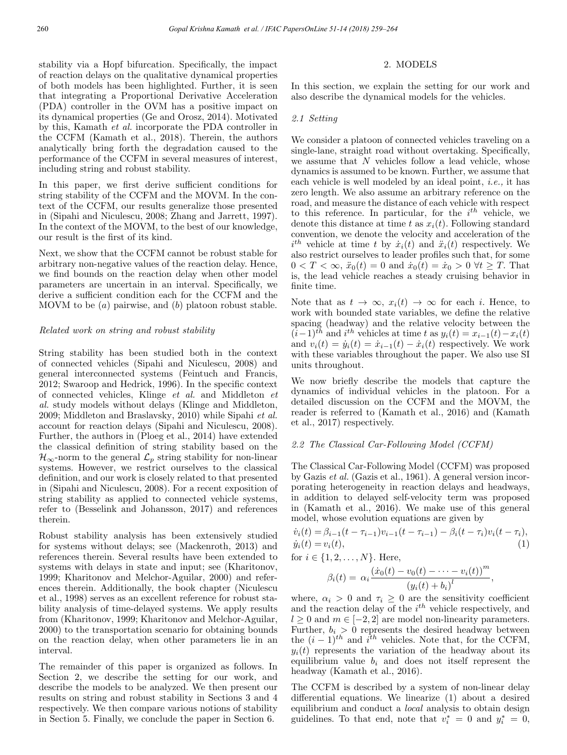stability via a Hopf bifurcation. Specifically, the impact of reaction delays on the qualitative dynamical properties of both models has been highlighted. Further, it is seen that integrating a Proportional Derivative Acceleration (PDA) controller in the OVM has a positive impact on its dynamical properties (Ge and Orosz, 2014). Motivated by this, Kamath et al. incorporate the PDA controller in the CCFM (Kamath et al., 2018). Therein, the authors analytically bring forth the degradation caused to the performance of the CCFM in several measures of interest, including string and robust stability.

In this paper, we first derive sufficient conditions for string stability of the CCFM and the MOVM. In the context of the CCFM, our results generalize those presented in (Sipahi and Niculescu, 2008; Zhang and Jarrett, 1997). In the context of the MOVM, to the best of our knowledge, our result is the first of its kind.

Next, we show that the CCFM cannot be robust stable for arbitrary non-negative values of the reaction delay. Hence, we find bounds on the reaction delay when other model parameters are uncertain in an interval. Specifically, we derive a sufficient condition each for the CCFM and the MOVM to be  $(a)$  pairwise, and  $(b)$  platoon robust stable.

#### Related work on string and robust stability

String stability has been studied both in the context of connected vehicles (Sipahi and Niculescu, 2008) and general interconnected systems (Feintuch and Francis, 2012; Swaroop and Hedrick, 1996). In the specific context of connected vehicles, Klinge et al. and Middleton et al. study models without delays (Klinge and Middleton, 2009; Middleton and Braslavsky, 2010) while Sipahi et al. account for reaction delays (Sipahi and Niculescu, 2008). Further, the authors in (Ploeg et al., 2014) have extended the classical definition of string stability based on the  $\mathcal{H}_{\infty}$ -norm to the general  $\mathcal{L}_p$  string stability for non-linear systems. However, we restrict ourselves to the classical definition, and our work is closely related to that presented in (Sipahi and Niculescu, 2008). For a recent exposition of string stability as applied to connected vehicle systems, refer to (Besselink and Johansson, 2017) and references therein.

Robust stability analysis has been extensively studied for systems without delays; see (Mackenroth, 2013) and references therein. Several results have been extended to systems with delays in state and input; see (Kharitonov, 1999; Kharitonov and Melchor-Aguilar, 2000) and references therein. Additionally, the book chapter (Niculescu et al., 1998) serves as an excellent reference for robust stability analysis of time-delayed systems. We apply results from (Kharitonov, 1999; Kharitonov and Melchor-Aguilar, 2000) to the transportation scenario for obtaining bounds on the reaction delay, when other parameters lie in an interval.

The remainder of this paper is organized as follows. In Section 2, we describe the setting for our work, and describe the models to be analyzed. We then present our results on string and robust stability in Sections 3 and 4 respectively. We then compare various notions of stability in Section 5. Finally, we conclude the paper in Section 6.

# 2. MODELS

In this section, we explain the setting for our work and also describe the dynamical models for the vehicles.

#### 2.1 Setting

We consider a platoon of connected vehicles traveling on a single-lane, straight road without overtaking. Specifically, we assume that  $N$  vehicles follow a lead vehicle, whose dynamics is assumed to be known. Further, we assume that each vehicle is well modeled by an ideal point, *i.e.*, it has zero length. We also assume an arbitrary reference on the road, and measure the distance of each vehicle with respect to this reference. In particular, for the  $i^{th}$  vehicle, we denote this distance at time t as  $x_i(t)$ . Following standard convention, we denote the velocity and acceleration of the  $i^{th}$  vehicle at time t by  $\dot{x}_i(t)$  and  $\ddot{x}_i(t)$  respectively. We also restrict ourselves to leader profiles such that, for some  $0 < T < \infty$ ,  $\ddot{x}_0(t) = 0$  and  $\dot{x}_0(t) = \dot{x}_0 > 0 \ \forall t \geq T$ . That is, the lead vehicle reaches a steady cruising behavior in finite time.

Note that as  $t \to \infty$ ,  $x_i(t) \to \infty$  for each i. Hence, to work with bounded state variables, we define the relative spacing (headway) and the relative velocity between the  $(i-1)^{th}$  and  $i^{th}$  vehicles at time t as  $y_i(t) = x_{i-1}(t) - x_i(t)$ and  $v_i(t) = \dot{y}_i(t) = \dot{x}_{i-1}(t) - \dot{x}_i(t)$  respectively. We work with these variables throughout the paper. We also use SI units throughout.

We now briefly describe the models that capture the dynamics of individual vehicles in the platoon. For a detailed discussion on the CCFM and the MOVM, the reader is referred to (Kamath et al., 2016) and (Kamath et al., 2017) respectively.

# 2.2 The Classical Car-Following Model (CCFM)

The Classical Car-Following Model (CCFM) was proposed by Gazis et al. (Gazis et al., 1961). A general version incorporating heterogeneity in reaction delays and headways, in addition to delayed self-velocity term was proposed in (Kamath et al., 2016). We make use of this general model, whose evolution equations are given by

$$
\dot{v}_i(t) = \beta_{i-1}(t - \tau_{i-1})v_{i-1}(t - \tau_{i-1}) - \beta_i(t - \tau_i)v_i(t - \tau_i),
$$
  
\n
$$
\dot{y}_i(t) = v_i(t),
$$
\n(1)

for  $i \in \{1, 2, ..., N\}$ . Here,

$$
\beta_i(t) = \alpha_i \frac{(\dot{x}_0(t) - v_0(t) - \dots - v_i(t))^m}{(y_i(t) + b_i)^l},
$$

where,  $\alpha_i > 0$  and  $\tau_i \geq 0$  are the sensitivity coefficient and the reaction delay of the *i*<sup>th</sup> vehicle respectively, and  $l \geq 0$  and  $m \in [-2, 2]$  are model non-linearity parameters. Further,  $b_i > 0$  represents the desired headway between the  $(i-1)^{th}$  and  $i^{th}$  vehicles. Note that, for the CCFM,  $y_i(t)$  represents the variation of the headway about its equilibrium value  $b_i$  and does not itself represent the headway (Kamath et al., 2016).

The CCFM is described by a system of non-linear delay differential equations. We linearize (1) about a desired equilibrium and conduct a local analysis to obtain design guidelines. To that end, note that  $v_i^* = 0$  and  $y_i^* = 0$ ,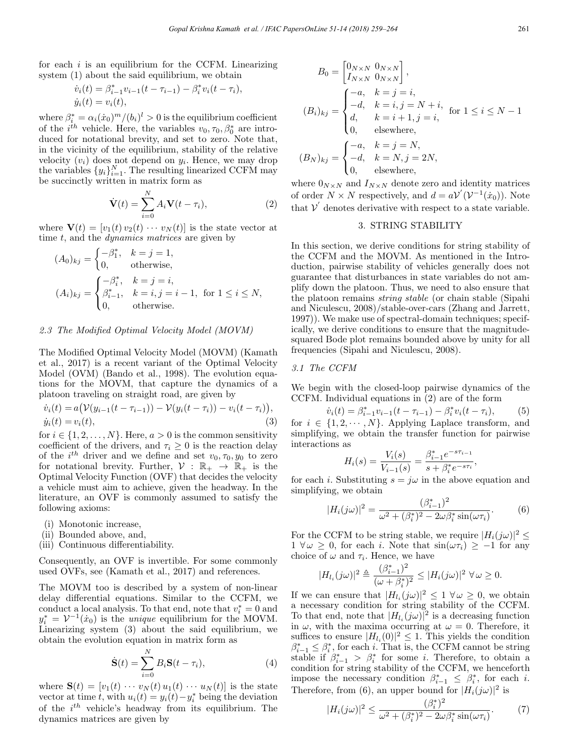for each  $i$  is an equilibrium for the CCFM. Linearizing system (1) about the said equilibrium, we obtain

$$
\dot{v}_i(t) = \beta_{i-1}^* v_{i-1}(t - \tau_{i-1}) - \beta_i^* v_i(t - \tau_i),
$$
  

$$
\dot{y}_i(t) = v_i(t),
$$

where  $\beta_i^* = \alpha_i(\dot{x}_0)^m / (b_i)^l > 0$  is the equilibrium coefficient of the  $i^{th}$  vehicle. Here, the variables  $v_0, \tau_0, \beta_0^*$  are introduced for notational brevity, and set to zero. Note that, in the vicinity of the equilibrium, stability of the relative velocity  $(v_i)$  does not depend on  $y_i$ . Hence, we may drop the variables  $\{y_i\}_{i=1}^N$ . The resulting linearized CCFM may be succinctly written in matrix form as

$$
\dot{\mathbf{V}}(t) = \sum_{i=0}^{N} A_i \mathbf{V}(t - \tau_i), \tag{2}
$$

where  $\mathbf{V}(t)=[v_1(t) v_2(t) \cdots v_N(t)]$  is the state vector at time t, and the *dynamics matrices* are given by

$$
(A_0)_{kj} = \begin{cases} -\beta_1^*, & k = j = 1, \\ 0, & \text{otherwise,} \end{cases}
$$
  

$$
(A_i)_{kj} = \begin{cases} -\beta_i^*, & k = j = i, \\ \beta_{i-1}^*, & k = i, j = i - 1, \text{ for } 1 \le i \le N, \\ 0, & \text{otherwise.} \end{cases}
$$

#### 2.3 The Modified Optimal Velocity Model (MOVM)

The Modified Optimal Velocity Model (MOVM) (Kamath et al., 2017) is a recent variant of the Optimal Velocity Model (OVM) (Bando et al., 1998). The evolution equations for the MOVM, that capture the dynamics of a platoon traveling on straight road, are given by

$$
\dot{v}_i(t) = a(\mathcal{V}(y_{i-1}(t-\tau_{i-1})) - \mathcal{V}(y_i(t-\tau_i)) - v_i(t-\tau_i)),
$$
  

$$
\dot{y}_i(t) = v_i(t),
$$
 (3)

for  $i \in \{1, 2, ..., N\}$ . Here,  $a > 0$  is the common sensitivity coefficient of the drivers, and  $\tau_i \geq 0$  is the reaction delay of the  $i^{th}$  driver and we define and set  $v_0, \tau_0, y_0$  to zero for notational brevity. Further,  $V : \mathbb{R}_+ \to \mathbb{R}_+$  is the Optimal Velocity Function (OVF) that decides the velocity a vehicle must aim to achieve, given the headway. In the literature, an OVF is commonly assumed to satisfy the following axioms:

- (i) Monotonic increase,
- (ii) Bounded above, and,
- (iii) Continuous differentiability.

Consequently, an OVF is invertible. For some commonly used OVFs, see (Kamath et al., 2017) and references.

The MOVM too is described by a system of non-linear delay differential equations. Similar to the CCFM, we conduct a local analysis. To that end, note that  $v_i^* = 0$  and  $y_i^* = \mathcal{V}^{-1}(\dot{x}_0)$  is the *unique* equilibrium for the MOVM. Linearizing system (3) about the said equilibrium, we obtain the evolution equation in matrix form as

$$
\dot{\mathbf{S}}(t) = \sum_{i=0}^{N} B_i \mathbf{S}(t - \tau_i), \tag{4}
$$

where  $\mathbf{S}(t)=[v_1(t)\cdots v_N(t) u_1(t) \cdots u_N(t)]$  is the state vector at time t, with  $u_i(t) = y_i(t) - y_i^*$  being the deviation of the  $i^{th}$  vehicle's headway from its equilibrium. The dynamics matrices are given by

$$
B_0 = \begin{bmatrix} 0_{N \times N} & 0_{N \times N} \\ I_{N \times N} & 0_{N \times N} \end{bmatrix},
$$
  
\n
$$
(B_i)_{kj} = \begin{cases} -a, & k = j = i, \\ -d, & k = i, j = N + i, \\ d, & k = i + 1, j = i, \\ 0, & \text{elsewhere,} \\ 0, & \text{elsewhere,} \end{cases}
$$
  
\n
$$
(B_N)_{kj} = \begin{cases} -a, & k = j = N, \\ -d, & k = N, j = 2N, \\ 0, & \text{elsewhere,} \end{cases}
$$

where  $0_{N\times N}$  and  $I_{N\times N}$  denote zero and identity matrices of order  $N \times N$  respectively, and  $d = a \mathcal{V}'(\mathcal{V}^{-1}(\dot{x}_0))$ . Note that  $\mathcal{V}'$  denotes derivative with respect to a state variable.

# 3. STRING STABILITY

In this section, we derive conditions for string stability of the CCFM and the MOVM. As mentioned in the Introduction, pairwise stability of vehicles generally does not guarantee that disturbances in state variables do not amplify down the platoon. Thus, we need to also ensure that the platoon remains string stable (or chain stable (Sipahi and Niculescu, 2008)/stable-over-cars (Zhang and Jarrett, 1997)). We make use of spectral-domain techniques; specifically, we derive conditions to ensure that the magnitudesquared Bode plot remains bounded above by unity for all frequencies (Sipahi and Niculescu, 2008).

# 3.1 The CCFM

We begin with the closed-loop pairwise dynamics of the CCFM. Individual equations in (2) are of the form

$$
\dot{v}_i(t) = \beta_{i-1}^* v_{i-1}(t - \tau_{i-1}) - \beta_i^* v_i(t - \tau_i), \tag{5}
$$

for  $i \in \{1, 2, \dots, N\}$ . Applying Laplace transform, and simplifying, we obtain the transfer function for pairwise interactions as

$$
H_i(s) = \frac{V_i(s)}{V_{i-1}(s)} = \frac{\beta_{i-1}^* e^{-s\tau_{i-1}}}{s + \beta_i^* e^{-s\tau_i}},
$$

for each *i*. Substituting  $s = j\omega$  in the above equation and simplifying, we obtain

$$
|H_i(j\omega)|^2 = \frac{(\beta_{i-1}^*)^2}{\omega^2 + (\beta_i^*)^2 - 2\omega\beta_i^* \sin(\omega\tau_i)}.
$$
 (6)

For the CCFM to be string stable, we require  $|H_i(j\omega)|^2 \leq$  $1 \ \forall \omega \geq 0$ , for each i. Note that  $\sin(\omega \tau_i) \geq -1$  for any choice of  $\omega$  and  $\tau_i$ . Hence, we have

$$
|H_{l_i}(j\omega)|^2 \triangleq \frac{(\beta_{i-1}^*)^2}{(\omega+\beta_i^*)^2} \leq |H_i(j\omega)|^2 \ \forall \omega \geq 0.
$$

If we can ensure that  $|H_{l_i}(j\omega)|^2 \leq 1 \ \forall \omega \geq 0$ , we obtain a necessary condition for string stability of the CCFM. To that end, note that  $|H_{l_i}(j\omega)|^2$  is a decreasing function in  $\omega$ , with the maxima occurring at  $\omega = 0$ . Therefore, it suffices to ensure  $|H_{l_i}(0)|^2 \leq 1$ . This yields the condition  $\beta_{i-1}^* \leq \beta_i^*$ , for each i. That is, the CCFM cannot be string stable if  $\beta_{i-1}^* > \beta_i^*$  for some *i*. Therefore, to obtain a condition for string stability of the CCFM, we henceforth impose the necessary condition  $\beta_{i-1}^* \leq \beta_i^*$ , for each *i*. Therefore, from (6), an upper bound for  $|H_i(j\omega)|^2$  is

$$
|H_i(j\omega)|^2 \le \frac{(\beta_i^*)^2}{\omega^2 + (\beta_i^*)^2 - 2\omega\beta_i^* \sin(\omega \tau_i)}.
$$
 (7)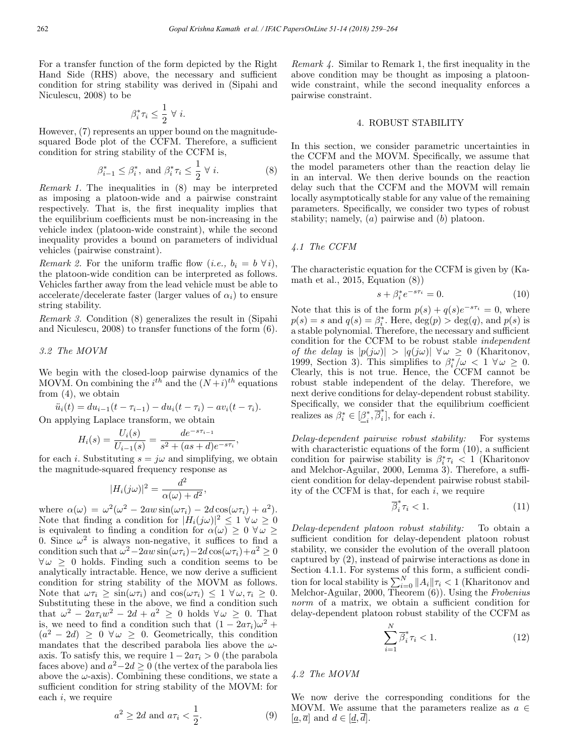For a transfer function of the form depicted by the Right Hand Side (RHS) above, the necessary and sufficient condition for string stability was derived in (Sipahi and Niculescu, 2008) to be

$$
\beta_i^* \tau_i \leq \frac{1}{2} \ \forall \ i.
$$

However, (7) represents an upper bound on the magnitudesquared Bode plot of the CCFM. Therefore, a sufficient condition for string stability of the CCFM is,

$$
\beta_{i-1}^* \le \beta_i^*, \text{ and } \beta_i^* \tau_i \le \frac{1}{2} \ \forall \ i.
$$
 (8)

Remark 1. The inequalities in (8) may be interpreted as imposing a platoon-wide and a pairwise constraint respectively. That is, the first inequality implies that the equilibrium coefficients must be non-increasing in the vehicle index (platoon-wide constraint), while the second inequality provides a bound on parameters of individual vehicles (pairwise constraint).

*Remark 2.* For the uniform traffic flow (*i.e.*,  $b_i = b \; \forall i$ ), the platoon-wide condition can be interpreted as follows. Vehicles farther away from the lead vehicle must be able to accelerate/decelerate faster (larger values of  $\alpha_i$ ) to ensure string stability.

Remark 3. Condition (8) generalizes the result in (Sipahi and Niculescu, 2008) to transfer functions of the form (6).

## 3.2 The MOVM

We begin with the closed-loop pairwise dynamics of the MOVM. On combining the  $i^{th}$  and the  $(N+i)^{th}$  equations from (4), we obtain

$$
\ddot{u}_i(t) = du_{i-1}(t - \tau_{i-1}) - du_i(t - \tau_i) - av_i(t - \tau_i).
$$

On applying Laplace transform, we obtain

$$
H_i(s) = \frac{U_i(s)}{U_{i-1}(s)} = \frac{de^{-s\tau_{i-1}}}{s^2 + (as+d)e^{-s\tau_i}},
$$

for each i. Substituting  $s = j\omega$  and simplifying, we obtain the magnitude-squared frequency response as

$$
|H_i(j\omega)|^2 = \frac{d^2}{\alpha(\omega) + d^2},
$$

where  $\alpha(\omega) = \omega^2(\omega^2 - 2aw\sin(\omega\tau_i) - 2d\cos(\omega\tau_i) + a^2)$ . Note that finding a condition for  $|H_i(j\omega)|^2 \leq 1 \ \forall \omega \geq 0$ is equivalent to finding a condition for  $\alpha(\omega) \geq 0 \ \forall \omega \geq 0$ 0. Since  $\omega^2$  is always non-negative, it suffices to find a condition such that  $\omega^2-2aw\sin(\omega\tau_i)-2d\cos(\omega\tau_i)+a^2\geq 0$  $\forall \omega \geq 0$  holds. Finding such a condition seems to be analytically intractable. Hence, we now derive a sufficient condition for string stability of the MOVM as follows. Note that  $\omega \tau_i \geq \sin(\omega \tau_i)$  and  $\cos(\omega \tau_i) \leq 1 \ \forall \omega, \tau_i \geq 0$ . Substituting these in the above, we find a condition such that  $\omega^2 - 2a\tau_i w^2 - 2d + a^2 \geq 0$  holds  $\forall \omega \geq 0$ . That is, we need to find a condition such that  $(1 - 2a\tau_i)\omega^2$  +  $(a^{2} - 2d) \geq 0 \ \forall \omega \geq 0$ . Geometrically, this condition mandates that the described parabola lies above the  $\omega$ axis. To satisfy this, we require  $1-2a\tau_i > 0$  (the parabola faces above) and  $a^2-2d\geq 0$  (the vertex of the parabola lies above the  $\omega$ -axis). Combining these conditions, we state a sufficient condition for string stability of the MOVM: for each i, we require

$$
a^2 \ge 2d \text{ and } a\tau_i < \frac{1}{2}.\tag{9}
$$

Remark 4. Similar to Remark 1, the first inequality in the above condition may be thought as imposing a platoonwide constraint, while the second inequality enforces a pairwise constraint.

### 4. ROBUST STABILITY

In this section, we consider parametric uncertainties in the CCFM and the MOVM. Specifically, we assume that the model parameters other than the reaction delay lie in an interval. We then derive bounds on the reaction delay such that the CCFM and the MOVM will remain locally asymptotically stable for any value of the remaining parameters. Specifically, we consider two types of robust stability; namely,  $(a)$  pairwise and  $(b)$  platoon.

#### 4.1 The CCFM

The characteristic equation for the CCFM is given by (Kamath et al., 2015, Equation (8))

$$
s + \beta_i^* e^{-s\tau_i} = 0. \tag{10}
$$

Note that this is of the form  $p(s) + q(s)e^{-s\tau_i} = 0$ , where  $p(s) = s$  and  $q(s) = \beta_i^*$ . Here,  $deg(p) > deg(q)$ , and  $p(s)$  is a stable polynomial. Therefore, the necessary and sufficient condition for the CCFM to be robust stable independent of the delay is  $|p(j\omega)| > |q(j\omega)| \ \forall \omega \ge 0$  (Kharitonov, 1999, Section 3). This simplifies to  $\beta_i^*/\omega < 1 \ \forall \omega \ge 0$ . Clearly, this is not true. Hence, the CCFM cannot be robust stable independent of the delay. Therefore, we next derive conditions for delay-dependent robust stability. Specifically, we consider that the equilibrium coefficient realizes as  $\beta_i^* \in [\underline{\beta}_i^*, \overline{\beta}_i^*]$ , for each *i*.

Delay-dependent pairwise robust stability: For systems with characteristic equations of the form  $(10)$ , a sufficient condition for pairwise stability is  $\beta_i^* \tau_i < 1$  (Kharitonov and Melchor-Aguilar, 2000, Lemma 3). Therefore, a sufficient condition for delay-dependent pairwise robust stability of the CCFM is that, for each  $i$ , we require

$$
\overline{\beta}_i^* \tau_i < 1. \tag{11}
$$

Delay-dependent platoon robust stability: To obtain a sufficient condition for delay-dependent platoon robust stability, we consider the evolution of the overall platoon captured by (2), instead of pairwise interactions as done in Section 4.1.1. For systems of this form, a sufficient condition for local stability is  $\sum_{i=0}^{N} ||A_i|| \tau_i < 1$  (Kharitonov and Melchor-Aguilar, 2000, Theorem (6)). Using the *Frobenius* norm of a matrix, we obtain a sufficient condition for delay-dependent platoon robust stability of the CCFM as

$$
\sum_{i=1}^{N} \overline{\beta}_i^* \tau_i < 1. \tag{12}
$$

### 4.2 The MOVM

We now derive the corresponding conditions for the MOVM. We assume that the parameters realize as  $a \in$  $[a, \overline{a}]$  and  $d \in [d, d]$ .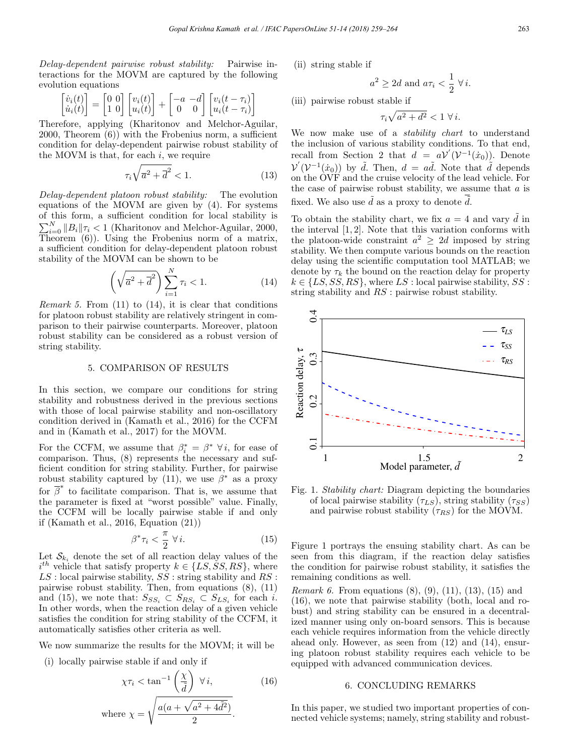Delay-dependent pairwise robust stability: Pairwise interactions for the MOVM are captured by the following evolution equations

$$
\begin{bmatrix} \dot{v}_i(t) \\ \dot{u}_i(t) \end{bmatrix} = \begin{bmatrix} 0 & 0 \\ 1 & 0 \end{bmatrix} \begin{bmatrix} v_i(t) \\ u_i(t) \end{bmatrix} + \begin{bmatrix} -a & -d \\ 0 & 0 \end{bmatrix} \begin{bmatrix} v_i(t - \tau_i) \\ u_i(t - \tau_i) \end{bmatrix}
$$

Therefore, applying (Kharitonov and Melchor-Aguilar, 2000, Theorem (6)) with the Frobenius norm, a sufficient condition for delay-dependent pairwise robust stability of the MOVM is that, for each  $i$ , we require

$$
\tau_i \sqrt{\overline{a}^2 + \overline{d}^2} < 1. \tag{13}
$$

Delay-dependent platoon robust stability: The evolution equations of the MOVM are given by (4). For systems of this form, a sufficient condition for local stability is  $\sum_{i=0}^{N} ||B_i||_{\mathcal{T}_i} < 1$  (Kharitonov and Melchor-Aguilar, 2000, Theorem  $(6)$ ). Using the Frobenius norm of a matrix, a sufficient condition for delay-dependent platoon robust stability of the MOVM can be shown to be

$$
\left(\sqrt{\overline{a}^2 + \overline{d}^2}\right) \sum_{i=1}^N \tau_i < 1. \tag{14}
$$

Remark 5. From  $(11)$  to  $(14)$ , it is clear that conditions for platoon robust stability are relatively stringent in comparison to their pairwise counterparts. Moreover, platoon robust stability can be considered as a robust version of string stability.

# 5. COMPARISON OF RESULTS

In this section, we compare our conditions for string stability and robustness derived in the previous sections with those of local pairwise stability and non-oscillatory condition derived in (Kamath et al., 2016) for the CCFM and in (Kamath et al., 2017) for the MOVM.

For the CCFM, we assume that  $\beta_i^* = \beta^* \ \forall i$ , for ease of comparison. Thus, (8) represents the necessary and sufficient condition for string stability. Further, for pairwise robust stability captured by (11), we use  $\beta^*$  as a proxy for  $\overline{\beta}^*$  to facilitate comparison. That is, we assume that the parameter is fixed at "worst possible" value. Finally, the CCFM will be locally pairwise stable if and only if (Kamath et al., 2016, Equation (21))

$$
\beta^* \tau_i < \frac{\pi}{2} \ \forall \, i. \tag{15}
$$

Let  $\mathcal{S}_{k_i}$  denote the set of all reaction delay values of the  $i^{th}$  vehicle that satisfy property  $k \in \{LS, SS, RS\}$ , where  $LS:$  local pairwise stability,  $SS:$  string stability and  $RS:$ pairwise robust stability. Then, from equations (8), (11) and (15), we note that:  $S_{SS_i} \subset S_{RS_i} \subset S_{LS_i}$  for each *i*. In other words, when the reaction delay of a given vehicle satisfies the condition for string stability of the CCFM, it automatically satisfies other criteria as well.

We now summarize the results for the MOVM; it will be

(i) locally pairwise stable if and only if

$$
\chi \tau_i < \tan^{-1} \left( \frac{\chi}{\tilde{d}} \right) \, \forall \, i,\tag{16}
$$
\n
$$
\text{where } \chi = \sqrt{\frac{a(a + \sqrt{a^2 + 4\tilde{d}^2})}{2}}.
$$

(ii) string stable if

$$
a^2 \ge 2d \text{ and } a\tau_i < \frac{1}{2} \ \forall \, i.
$$

(iii) pairwise robust stable if

$$
\tau_i \sqrt{a^2 + d^2} < 1 \,\forall \, i.
$$

We now make use of a *stability chart* to understand the inclusion of various stability conditions. To that end, recall from Section 2 that  $d = aV'(\mathcal{V}^{-1}(\dot{x}_0))$ . Denote  $\mathcal{V}'(\mathcal{V}^{-1}(x_0))$  by  $\tilde{d}$ . Then,  $d = a\tilde{d}$ . Note that  $\tilde{d}$  depends on the OVF and the cruise velocity of the lead vehicle. For the case of pairwise robust stability, we assume that  $a$  is fixed. We also use  $\tilde{d}$  as a proxy to denote  $\tilde{d}$ .

To obtain the stability chart, we fix  $a = 4$  and vary  $\tilde{d}$  in the interval [1, 2]. Note that this variation conforms with the platoon-wide constraint  $a^2 \geq 2d$  imposed by string stability. We then compute various bounds on the reaction delay using the scientific computation tool MATLAB; we denote by  $\tau_k$  the bound on the reaction delay for property  $k \in \{LS, SS, RS\}$ , where  $LS$ : local pairwise stability,  $SS$ : string stability and RS : pairwise robust stability.



Fig. 1. Stability chart: Diagram depicting the boundaries of local pairwise stability  $(\tau_{LS})$ , string stability  $(\tau_{SS})$ and pairwise robust stability ( $\tau_{RS}$ ) for the MOVM.

Figure 1 portrays the ensuing stability chart. As can be seen from this diagram, if the reaction delay satisfies the condition for pairwise robust stability, it satisfies the remaining conditions as well.

*Remark 6.* From equations  $(8)$ ,  $(9)$ ,  $(11)$ ,  $(13)$ ,  $(15)$  and (16), we note that pairwise stability (both, local and robust) and string stability can be ensured in a decentralized manner using only on-board sensors. This is because each vehicle requires information from the vehicle directly ahead only. However, as seen from (12) and (14), ensuring platoon robust stability requires each vehicle to be equipped with advanced communication devices.

### 6. CONCLUDING REMARKS

In this paper, we studied two important properties of connected vehicle systems; namely, string stability and robust